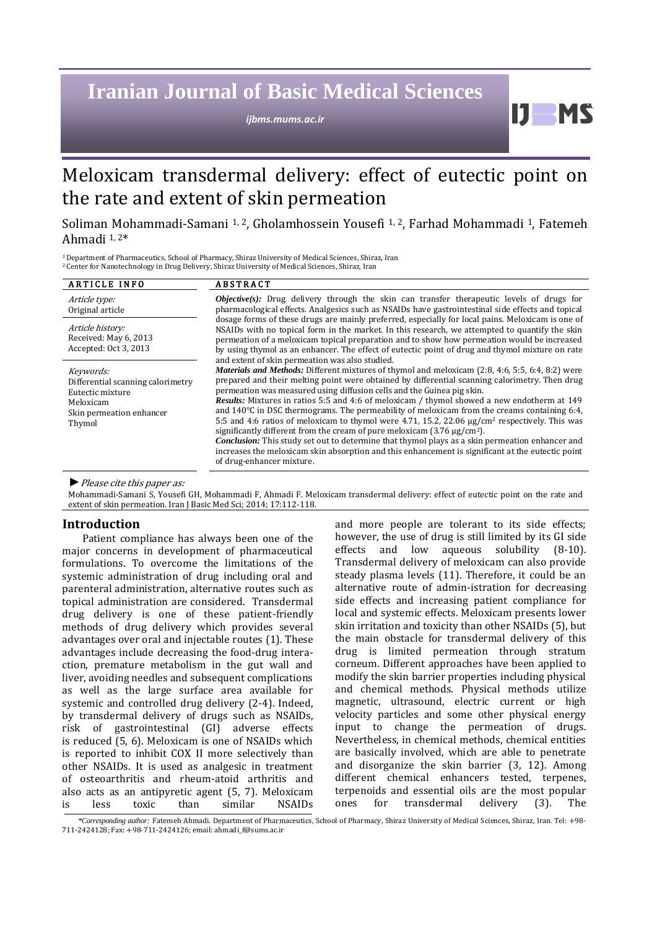# **Iranian Journal of Basic Medical Sciences**

*ijbms.mums.ac.ir*

## Meloxicam transdermal delivery: effect of eutectic point on the rate and extent of skin permeation

## Soliman Mohammadi-Samani 1, <sup>2</sup>, Gholamhossein Yousefi 1, <sup>2</sup>, Farhad Mohammadi 1, Fatemeh Ahmadi 1, <sup>2</sup>\*

<sup>1</sup>Department of Pharmaceutics, School of Pharmacy, Shiraz University of Medical Sciences, Shiraz, Iran <sup>2</sup>Center for Nanotechnology in Drug Delivery, Shiraz University of Medical Sciences, Shiraz, Iran

| <b>ARTICLE INFO</b>                                                                                                   | ABSTRACT                                                                                                                                                                                                                                                                                                                                                                                                                                                                                                                                                                                                                                                                                                                                                                                                                                                                                                                                              |  |  |  |  |  |
|-----------------------------------------------------------------------------------------------------------------------|-------------------------------------------------------------------------------------------------------------------------------------------------------------------------------------------------------------------------------------------------------------------------------------------------------------------------------------------------------------------------------------------------------------------------------------------------------------------------------------------------------------------------------------------------------------------------------------------------------------------------------------------------------------------------------------------------------------------------------------------------------------------------------------------------------------------------------------------------------------------------------------------------------------------------------------------------------|--|--|--|--|--|
| Article type:<br>Original article                                                                                     | <b><i>Objective(s)</i></b> : Drug delivery through the skin can transfer therapeutic levels of drugs for<br>pharmacological effects. Analgesics such as NSAIDs have gastrointestinal side effects and topical                                                                                                                                                                                                                                                                                                                                                                                                                                                                                                                                                                                                                                                                                                                                         |  |  |  |  |  |
| Article history:<br>Received: May 6, 2013<br>Accepted: Oct 3, 2013                                                    | dosage forms of these drugs are mainly preferred, especially for local pains. Meloxicam is one of<br>NSAIDs with no topical form in the market. In this research, we attempted to quantify the skin<br>permeation of a meloxicam topical preparation and to show how permeation would be increased<br>by using thymol as an enhancer. The effect of eutectic point of drug and thymol mixture on rate<br>and extent of skin permeation was also studied.                                                                                                                                                                                                                                                                                                                                                                                                                                                                                              |  |  |  |  |  |
| Keywords:<br>Differential scanning calorimetry<br>Eutectic mixture<br>Meloxicam<br>Skin permeation enhancer<br>Thymol | <i>Materials and Methods:</i> Different mixtures of thymol and meloxicam (2:8, 4:6, 5:5, 6:4, 8:2) were<br>prepared and their melting point were obtained by differential scanning calorimetry. Then drug<br>permeation was measured using diffusion cells and the Guinea pig skin.<br><b>Results:</b> Mixtures in ratios 5:5 and 4:6 of meloxicam / thymol showed a new endotherm at 149<br>and $140^{\circ}$ C in DSC thermograms. The permeability of meloxicam from the creams containing 6:4,<br>5:5 and 4:6 ratios of meloxicam to thymol were 4.71, 15.2, 22.06 $\mu$ g/cm <sup>2</sup> respectively. This was<br>significantly different from the cream of pure meloxicam $(3.76 \,\mu g/cm^2)$ .<br><b>Conclusion:</b> This study set out to determine that thymol plays as a skin permeation enhancer and<br>increases the meloxicam skin absorption and this enhancement is significant at the eutectic point<br>of drug-enhancer mixture. |  |  |  |  |  |

*►*Please cite this paper as:

Mohammadi-Samani S, Yousefi GH, Mohammadi F, Ahmadi F. Meloxicam transdermal delivery: effect of eutectic point on the rate and extent of skin permeation. Iran J Basic Med Sci; 2014; 17:112-118.

## **Introduction**

Patient compliance has always been one of the major concerns in development of pharmaceutical formulations. To overcome the limitations of the systemic administration of drug including oral and parenteral administration, alternative routes such as topical administration are considered. Transdermal drug delivery is one of these patient-friendly methods of drug delivery which provides several advantages over oral and injectable routes (1). These advantages include decreasing the food-drug interaction, premature metabolism in the gut wall and liver, avoiding needles and subsequent complications as well as the large surface area available for systemic and controlled drug delivery (2-4). Indeed, by transdermal delivery of drugs such as NSAIDs, risk of gastrointestinal (GI) adverse effects is reduced (5, 6). Meloxicam is one of NSAIDs which is reported to inhibit COX II more selectively than other NSAIDs. It is used as analgesic in treatment of osteoarthritis and rheum-atoid arthritis and also acts as an antipyretic agent (5, 7). Meloxicam is less toxic than similar NSAIDs and more people are tolerant to its side effects; however, the use of drug is still limited by its GI side effects and low aqueous solubility (8-10). Transdermal delivery of meloxicam can also provide steady plasma levels (11). Therefore, it could be an alternative route of admin-istration for decreasing side effects and increasing patient compliance for local and systemic effects. Meloxicam presents lower skin irritation and toxicity than other NSAIDs (5), but the main obstacle for transdermal delivery of this drug is limited permeation through stratum corneum. Different approaches have been applied to modify the skin barrier properties including physical and chemical methods. Physical methods utilize magnetic, ultrasound, electric current or high velocity particles and some other physical energy input to change the permeation of drugs. Nevertheless, in chemical methods, chemical entities are basically involved, which are able to penetrate and disorganize the skin barrier (3, 12). Among different chemical enhancers tested, terpenes, terpenoids and essential oils are the most popular ones for transdermal delivery (3). The

H

*<sup>\*</sup>Corresponding author:* Fatemeh Ahmadi. Department of Pharmaceutics, School of Pharmacy, Shiraz University of Medical Sciences, Shiraz, Iran. Tel: +98- 711-2424128; Fax: +98-711-2424126; email: ahmadi\_f@sums.ac.ir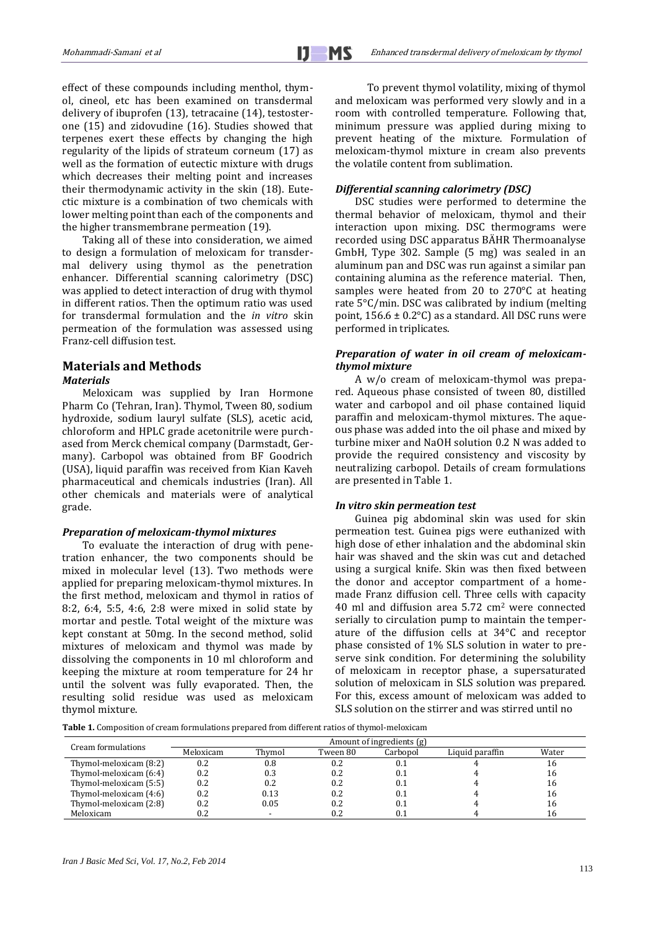effect of these compounds including menthol, thymol, cineol, etc has been examined on transdermal delivery of ibuprofen (13), tetracaine (14), testosterone (15) and zidovudine (16). Studies showed that terpenes exert these effects by changing the high regularity of the lipids of strateum corneum (17) as well as the formation of eutectic mixture with drugs which decreases their melting point and increases their thermodynamic activity in the skin (18). Eutectic mixture is a combination of two chemicals with lower melting point than each of the components and the higher transmembrane permeation (19).

Taking all of these into consideration, we aimed to design a formulation of meloxicam for transdermal delivery using thymol as the penetration enhancer. Differential scanning calorimetry (DSC) was applied to detect interaction of drug with thymol in different ratios. Then the optimum ratio was used for transdermal formulation and the *in vitro* skin permeation of the formulation was assessed using Franz-cell diffusion test.

### **Materials and Methods** *Materials*

Meloxicam was supplied by Iran Hormone Pharm Co (Tehran, Iran). Thymol, Tween 80, sodium hydroxide, sodium lauryl sulfate (SLS), acetic acid, chloroform and HPLC grade acetonitrile were purchased from Merck chemical company (Darmstadt, Germany). Carbopol was obtained from BF Goodrich (USA), liquid paraffin was received from Kian Kaveh pharmaceutical and chemicals industries (Iran). All other chemicals and materials were of analytical grade.

#### *Preparation of meloxicam-thymol mixtures*

To evaluate the interaction of drug with penetration enhancer, the two components should be mixed in molecular level (13). Two methods were applied for preparing meloxicam-thymol mixtures. In the first method, meloxicam and thymol in ratios of 8:2, 6:4, 5:5, 4:6, 2:8 were mixed in solid state by mortar and pestle. Total weight of the mixture was kept constant at 50mg. In the second method, solid mixtures of meloxicam and thymol was made by dissolving the components in 10 ml chloroform and keeping the mixture at room temperature for 24 hr until the solvent was fully evaporated. Then, the resulting solid residue was used as meloxicam thymol mixture.

 To prevent thymol volatility, mixing of thymol and meloxicam was performed very slowly and in a room with controlled temperature. Following that, minimum pressure was applied during mixing to prevent heating of the mixture. Formulation of meloxicam-thymol mixture in cream also prevents the volatile content from sublimation.

### *Differential scanning calorimetry (DSC)*

DSC studies were performed to determine the thermal behavior of meloxicam, thymol and their interaction upon mixing. DSC thermograms were recorded using DSC apparatus BÄHR Thermoanalyse GmbH, Type 302. Sample (5 mg) was sealed in an aluminum pan and DSC was run against a similar pan containing alumina as the reference material. Then, samples were heated from 20 to 270°C at heating rate 5°C/min. DSC was calibrated by indium (melting point,  $156.6 \pm 0.2$ °C) as a standard. All DSC runs were performed in triplicates.

### *Preparation of water in oil cream of meloxicamthymol mixture*

A w/o cream of meloxicam-thymol was prepared. Aqueous phase consisted of tween 80, distilled water and carbopol and oil phase contained liquid paraffin and meloxicam-thymol mixtures. The aqueous phase was added into the oil phase and mixed by turbine mixer and NaOH solution 0.2 N was added to provide the required consistency and viscosity by neutralizing carbopol. Details of cream formulations are presented in Table 1.

#### *In vitro skin permeation test*

Guinea pig abdominal skin was used for skin permeation test. Guinea pigs were euthanized with high dose of ether inhalation and the abdominal skin hair was shaved and the skin was cut and detached using a surgical knife. Skin was then fixed between the donor and acceptor compartment of a homemade Franz diffusion cell. Three cells with capacity 40 ml and diffusion area 5.72 cm<sup>2</sup> were connected serially to circulation pump to maintain the temperature of the diffusion cells at 34°C and receptor phase consisted of 1% SLS solution in water to preserve sink condition. For determining the solubility of meloxicam in receptor phase, a supersaturated solution of meloxicam in SLS solution was prepared. For this, excess amount of meloxicam was added to SLS solution on the stirrer and was stirred until no

**Table 1.** Composition of cream formulations prepared from different ratios of thymol-meloxicam

| Cream formulations     | Amount of ingredients (g) |          |          |          |                 |       |
|------------------------|---------------------------|----------|----------|----------|-----------------|-------|
|                        | Meloxicam                 | Thymol   | Tween 80 | Carbopol | Liquid paraffin | Water |
| Thymol-meloxicam (8:2) | 0.2                       | $_{0.8}$ | 0.2      | 0.1      |                 | 16    |
| Thymol-meloxicam (6:4) | 0.2                       | 0.3      | 0.2      | 0.1      |                 | 16    |
| Thymol-meloxicam (5:5) | 0.2                       | 0.2      | 0.2      | 0.1      |                 | 16    |
| Thymol-meloxicam (4:6) | 0.2                       | 0.13     | 0.2      | 0.1      |                 | 16    |
| Thymol-meloxicam (2:8) | 0.2                       | 0.05     | 0.2      | 0.1      |                 | 16    |
| Meloxicam              |                           |          |          |          |                 | 16    |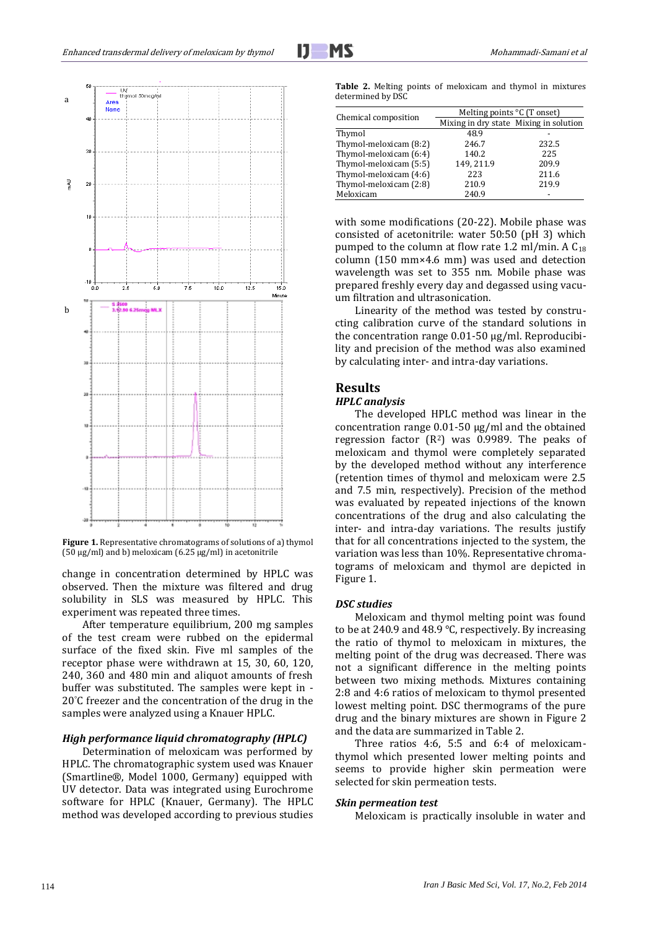

**Figure 1.** Representative chromatograms of solutions of a) thymol (50 µg/ml) and b) meloxicam (6.25 µg/ml) in acetonitrile

change in concentration determined by HPLC was observed. Then the mixture was filtered and drug solubility in SLS was measured by HPLC. This experiment was repeated three times.

After temperature equilibrium, 200 mg samples of the test cream were rubbed on the epidermal surface of the fixed skin. Five ml samples of the receptor phase were withdrawn at 15, 30, 60, 120, 240, 360 and 480 min and aliquot amounts of fresh buffer was substituted. The samples were kept in - 20°C freezer and the concentration of the drug in the samples were analyzed using a Knauer HPLC.

#### *High performance liquid chromatography (HPLC)*

Determination of meloxicam was performed by HPLC. The chromatographic system used was Knauer (Smartline®, Model 1000, Germany) equipped with UV detector. Data was integrated using Eurochrome software for HPLC (Knauer, Germany). The HPLC method was developed according to previous studies

**Table 2.** Melting points of meloxicam and thymol in mixtures determined by DSC

| Chemical composition   | Melting points ${}^{\circ}C$ (T onset) |       |  |  |  |
|------------------------|----------------------------------------|-------|--|--|--|
|                        | Mixing in dry state Mixing in solution |       |  |  |  |
| Thymol                 | 48.9                                   |       |  |  |  |
| Thymol-meloxicam (8:2) | 246.7                                  | 232.5 |  |  |  |
| Thymol-meloxicam (6:4) | 140.2                                  | 225   |  |  |  |
| Thymol-meloxicam (5:5) | 149, 211.9                             | 209.9 |  |  |  |
| Thymol-meloxicam (4:6) | 223                                    | 211.6 |  |  |  |
| Thymol-meloxicam (2:8) | 210.9                                  | 219.9 |  |  |  |
| Meloxicam              | 240.9                                  |       |  |  |  |

with some modifications (20-22). Mobile phase was consisted of acetonitrile: water 50:50 (pH 3) which pumped to the column at flow rate 1.2 ml/min. A  $C_{18}$ column (150 mm×4.6 mm) was used and detection wavelength was set to 355 nm. Mobile phase was prepared freshly every day and degassed using vacuum filtration and ultrasonication.

Linearity of the method was tested by constructing calibration curve of the standard solutions in the concentration range 0.01-50 µg/ml. Reproducibility and precision of the method was also examined by calculating inter- and intra-day variations.

## **Results**

j

#### *HPLC analysis*

The developed HPLC method was linear in the concentration range 0.01-50 µg/ml and the obtained regression factor  $(R^2)$  was 0.9989. The peaks of meloxicam and thymol were completely separated by the developed method without any interference (retention times of thymol and meloxicam were 2.5 and 7.5 min, respectively). Precision of the method was evaluated by repeated injections of the known concentrations of the drug and also calculating the inter- and intra-day variations. The results justify that for all concentrations injected to the system, the variation was less than 10%. Representative chromatograms of meloxicam and thymol are depicted in Figure 1.

#### *DSC studies*

Meloxicam and thymol melting point was found to be at 240.9 and 48.9 °C, respectively. By increasing the ratio of thymol to meloxicam in mixtures, the melting point of the drug was decreased. There was not a significant difference in the melting points between two mixing methods. Mixtures containing 2:8 and 4:6 ratios of meloxicam to thymol presented lowest melting point. DSC thermograms of the pure drug and the binary mixtures are shown in Figure 2 and the data are summarized in Table 2.

Three ratios 4:6, 5:5 and 6:4 of meloxicamthymol which presented lower melting points and seems to provide higher skin permeation were selected for skin permeation tests.

#### *Skin permeation test*

Meloxicam is practically insoluble in water and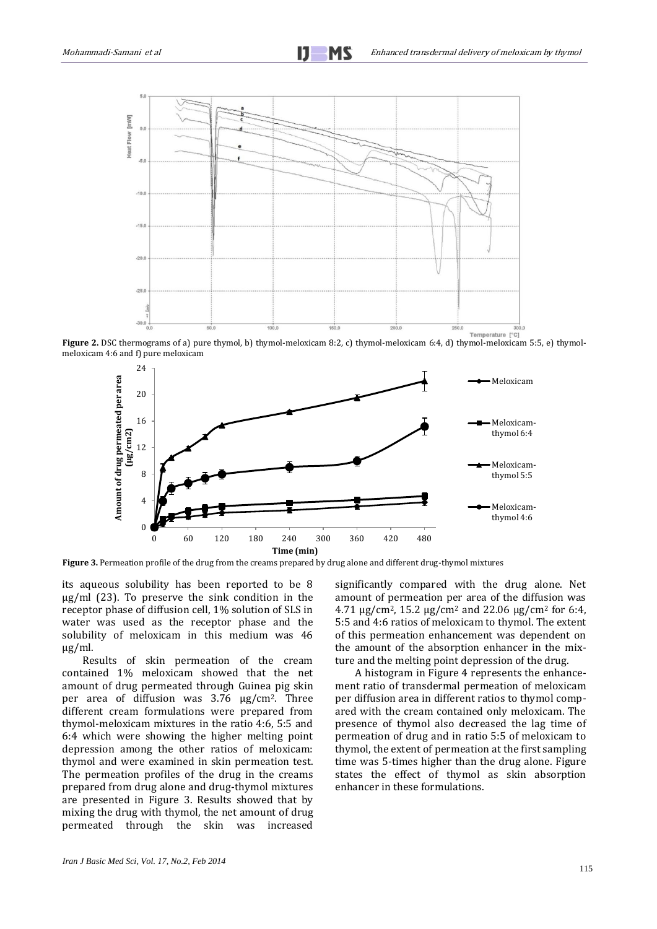

**Figure 2.** DSC thermograms of a) pure thymol, b) thymol-meloxicam 8:2, c) thymol-meloxicam 6:4, d) thymol-meloxicam 5:5, e) thymolmeloxicam 4:6 and f) pure meloxicam



**Figure 3.** Permeation profile of the drug from the creams prepared by drug alone and different drug-thymol mixtures

its aqueous solubility has been reported to be 8 μg/ml (23). To preserve the sink condition in the receptor phase of diffusion cell, 1% solution of SLS in water was used as the receptor phase and the solubility of meloxicam in this medium was 46 μg/ml.

Results of skin permeation of the cream contained 1% meloxicam showed that the net amount of drug permeated through Guinea pig skin per area of diffusion was 3.76 μg/cm2. Three different cream formulations were prepared from thymol-meloxicam mixtures in the ratio 4:6, 5:5 and 6:4 which were showing the higher melting point depression among the other ratios of meloxicam: thymol and were examined in skin permeation test. The permeation profiles of the drug in the creams prepared from drug alone and drug-thymol mixtures are presented in Figure 3. Results showed that by mixing the drug with thymol, the net amount of drug permeated through the skin was increased significantly compared with the drug alone. Net amount of permeation per area of the diffusion was 4.71  $\mu$ g/cm<sup>2</sup>, 15.2  $\mu$ g/cm<sup>2</sup> and 22.06  $\mu$ g/cm<sup>2</sup> for 6:4, 5:5 and 4:6 ratios of meloxicam to thymol. The extent of this permeation enhancement was dependent on the amount of the absorption enhancer in the mixture and the melting point depression of the drug.

A histogram in Figure 4 represents the enhancement ratio of transdermal permeation of meloxicam per diffusion area in different ratios to thymol compared with the cream contained only meloxicam. The presence of thymol also decreased the lag time of permeation of drug and in ratio 5:5 of meloxicam to thymol, the extent of permeation at the first sampling time was 5-times higher than the drug alone. Figure states the effect of thymol as skin absorption enhancer in these formulations.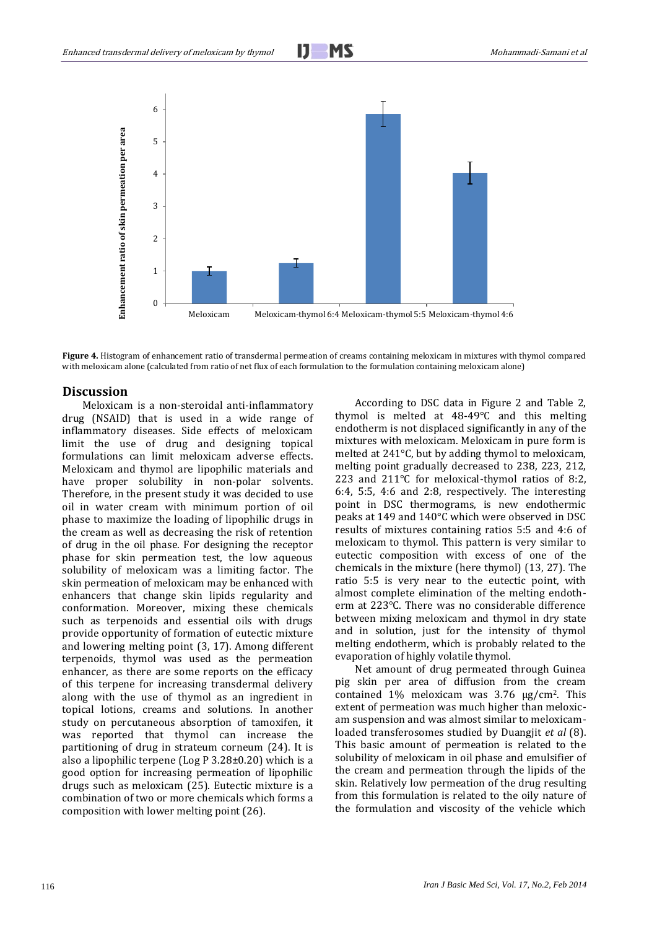# j



**Figure 4.** Histogram of enhancement ratio of transdermal permeation of creams containing meloxicam in mixtures with thymol compared with meloxicam alone (calculated from ratio of net flux of each formulation to the formulation containing meloxicam alone)

### **Discussion**

Meloxicam is a non-steroidal anti-inflammatory drug (NSAID) that is used in a wide range of inflammatory diseases. Side effects of meloxicam limit the use of drug and designing topical formulations can limit meloxicam adverse effects. Meloxicam and thymol are lipophilic materials and have proper solubility in non-polar solvents. Therefore, in the present study it was decided to use oil in water cream with minimum portion of oil phase to maximize the loading of lipophilic drugs in the cream as well as decreasing the risk of retention of drug in the oil phase. For designing the receptor phase for skin permeation test, the low aqueous solubility of meloxicam was a limiting factor. The skin permeation of meloxicam may be enhanced with enhancers that change skin lipids regularity and conformation. Moreover, mixing these chemicals such as terpenoids and essential oils with drugs provide opportunity of formation of eutectic mixture and lowering melting point (3, 17). Among different terpenoids, thymol was used as the permeation enhancer, as there are some reports on the efficacy of this terpene for increasing transdermal delivery along with the use of thymol as an ingredient in topical lotions, creams and solutions. In another study on percutaneous absorption of tamoxifen, it was reported that thymol can increase the partitioning of drug in strateum corneum (24). It is also a lipophilic terpene (Log P 3.28±0.20) which is a good option for increasing permeation of lipophilic drugs such as meloxicam (25). Eutectic mixture is a combination of two or more chemicals which forms a composition with lower melting point (26).

According to DSC data in Figure 2 and Table 2, thymol is melted at 48-49°C and this melting endotherm is not displaced significantly in any of the mixtures with meloxicam. Meloxicam in pure form is melted at 241°C, but by adding thymol to meloxicam, melting point gradually decreased to 238, 223, 212, 223 and 211°C for meloxical-thymol ratios of 8:2, 6:4, 5:5, 4:6 and 2:8, respectively. The interesting point in DSC thermograms, is new endothermic peaks at 149 and 140°C which were observed in DSC results of mixtures containing ratios 5:5 and 4:6 of meloxicam to thymol. This pattern is very similar to eutectic composition with excess of one of the chemicals in the mixture (here thymol) (13, 27). The ratio 5:5 is very near to the eutectic point, with almost complete elimination of the melting endotherm at 223°C. There was no considerable difference between mixing meloxicam and thymol in dry state and in solution, just for the intensity of thymol melting endotherm, which is probably related to the evaporation of highly volatile thymol.

Net amount of drug permeated through Guinea pig skin per area of diffusion from the cream contained 1% meloxicam was 3.76 μg/cm2. This extent of permeation was much higher than meloxicam suspension and was almost similar to meloxicamloaded transferosomes studied by Duangjit *et al* (8). This basic amount of permeation is related to the solubility of meloxicam in oil phase and emulsifier of the cream and permeation through the lipids of the skin. Relatively low permeation of the drug resulting from this formulation is related to the oily nature of the formulation and viscosity of the vehicle which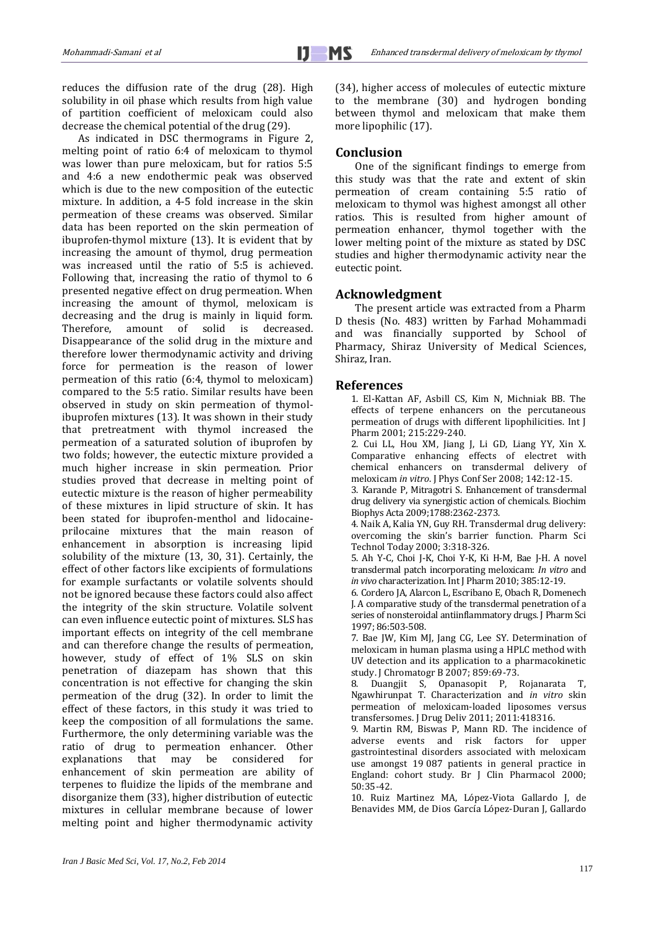reduces the diffusion rate of the drug (28). High solubility in oil phase which results from high value of partition coefficient of meloxicam could also decrease the chemical potential of the drug (29).

As indicated in DSC thermograms in Figure 2, melting point of ratio 6:4 of meloxicam to thymol was lower than pure meloxicam, but for ratios 5:5 and 4:6 a new endothermic peak was observed which is due to the new composition of the eutectic mixture. In addition, a 4-5 fold increase in the skin permeation of these creams was observed. Similar data has been reported on the skin permeation of ibuprofen-thymol mixture (13). It is evident that by increasing the amount of thymol, drug permeation was increased until the ratio of 5:5 is achieved. Following that, increasing the ratio of thymol to 6 presented negative effect on drug permeation. When increasing the amount of thymol, meloxicam is decreasing and the drug is mainly in liquid form. Therefore, amount of solid is decreased. Disappearance of the solid drug in the mixture and therefore lower thermodynamic activity and driving force for permeation is the reason of lower permeation of this ratio (6:4, thymol to meloxicam) compared to the 5:5 ratio. Similar results have been observed in study on skin permeation of thymolibuprofen mixtures (13). It was shown in their study that pretreatment with thymol increased the permeation of a saturated solution of ibuprofen by two folds; however, the eutectic mixture provided a much higher increase in skin permeation. Prior studies proved that decrease in melting point of eutectic mixture is the reason of higher permeability of these mixtures in lipid structure of skin. It has been stated for ibuprofen-menthol and lidocaineprilocaine mixtures that the main reason of enhancement in absorption is increasing lipid solubility of the mixture (13, 30, 31). Certainly, the effect of other factors like excipients of formulations for example surfactants or volatile solvents should not be ignored because these factors could also affect the integrity of the skin structure. Volatile solvent can even influence eutectic point of mixtures. SLS has important effects on integrity of the cell membrane and can therefore change the results of permeation, however, study of effect of 1% SLS on skin penetration of diazepam has shown that this concentration is not effective for changing the skin permeation of the drug (32). In order to limit the effect of these factors, in this study it was tried to keep the composition of all formulations the same. Furthermore, the only determining variable was the ratio of drug to permeation enhancer. Other explanations that may be considered for enhancement of skin permeation are ability of terpenes to fluidize the lipids of the membrane and disorganize them (33), higher distribution of eutectic mixtures in cellular membrane because of lower melting point and higher thermodynamic activity

(34), higher access of molecules of eutectic mixture to the membrane (30) and hydrogen bonding between thymol and meloxicam that make them more lipophilic (17).

## **Conclusion**

One of the significant findings to emerge from this study was that the rate and extent of skin permeation of cream containing 5:5 ratio of meloxicam to thymol was highest amongst all other ratios. This is resulted from higher amount of permeation enhancer, thymol together with the lower melting point of the mixture as stated by DSC studies and higher thermodynamic activity near the eutectic point.

## **Acknowledgment**

The present article was extracted from a Pharm D thesis (No. 483) written by Farhad Mohammadi and was financially supported by School of Pharmacy, Shiraz University of Medical Sciences, Shiraz, Iran.

### **References**

1. El-Kattan AF, Asbill CS, Kim N, Michniak BB. The effects of terpene enhancers on the percutaneous permeation of drugs with different lipophilicities. Int J Pharm 2001; 215:229-240.

2. Cui LL, Hou XM, Jiang J, Li GD, Liang YY, Xin X. Comparative enhancing effects of electret with chemical enhancers on transdermal delivery of meloxicam *in vitro*. J Phys Conf Ser 2008; 142:12-15.

3. Karande P, Mitragotri S. Enhancement of transdermal drug delivery via synergistic action of chemicals. Biochim Biophys Acta 2009;1788:2362-2373.

4. Naik A, Kalia YN, Guy RH. Transdermal drug delivery: overcoming the skin's barrier function. Pharm Sci Technol Today 2000; 3:318-326.

5. Ah Y-C, Choi J-K, Choi Y-K, Ki H-M, Bae J-H. A novel transdermal patch incorporating meloxicam: *In vitro* and *in vivo* characterization. Int J Pharm 2010; 385:12-19.

6. Cordero JA, Alarcon L, Escribano E, Obach R, Domenech J. A comparative study of the transdermal penetration of a series of nonsteroidal antiinflammatory drugs. J Pharm Sci 1997; 86:503-508.

7. Bae JW, Kim MJ, Jang CG, Lee SY. Determination of meloxicam in human plasma using a HPLC method with UV detection and its application to a pharmacokinetic study. J Chromatogr B 2007; 859:69-73.<br>8. Duangjit S, Opanasopit P,

Opanasopit P, Rojanarata T, Ngawhirunpat T. Characterization and *in vitro* skin permeation of meloxicam-loaded liposomes versus transfersomes. J Drug Deliv 2011; 2011:418316.

9. Martin RM, Biswas P, Mann RD. The incidence of adverse events and risk factors for upper gastrointestinal disorders associated with meloxicam use amongst 19 087 patients in general practice in England: cohort study. Br J Clin Pharmacol 2000; 50:35-42.

10. Ruiz Martinez MA, López-Viota Gallardo J, de Benavides MM, de Dios García López-Duran J, Gallardo